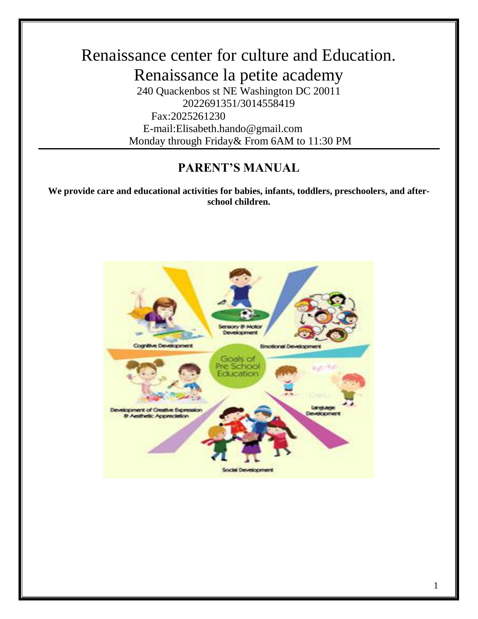# Renaissance center for culture and Education. Renaissance la petite academy 240 Quackenbos st NE Washington DC 20011 2022691351/3014558419 Fax:2025261230 E-mail:Elisabeth.hando@gmail.com Monday through Friday& From 6AM to 11:30 PM

## **PARENT'S MANUAL**

**We provide care and educational activities for babies, infants, toddlers, preschoolers, and afterschool children.**

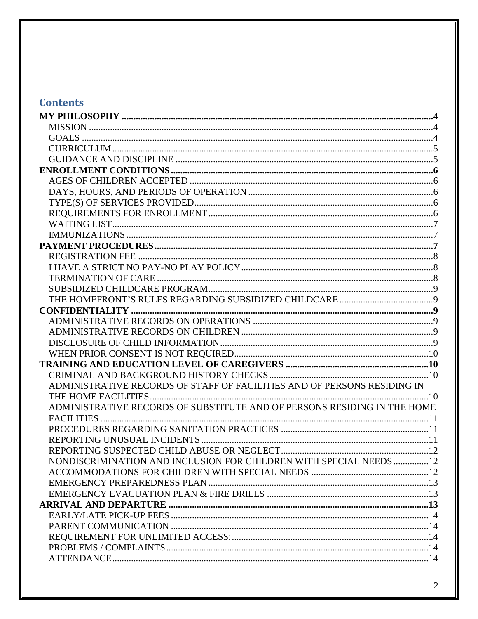# **Contents**

| ADMINISTRATIVE RECORDS OF STAFF OF FACILITIES AND OF PERSONS RESIDING IN |  |
|--------------------------------------------------------------------------|--|
|                                                                          |  |
| ADMINISTRATIVE RECORDS OF SUBSTITUTE AND OF PERSONS RESIDING IN THE HOME |  |
|                                                                          |  |
|                                                                          |  |
|                                                                          |  |
|                                                                          |  |
| NONDISCRIMINATION AND INCLUSION FOR CHILDREN WITH SPECIAL NEEDS 12       |  |
|                                                                          |  |
|                                                                          |  |
|                                                                          |  |
|                                                                          |  |
|                                                                          |  |
|                                                                          |  |
|                                                                          |  |
|                                                                          |  |
|                                                                          |  |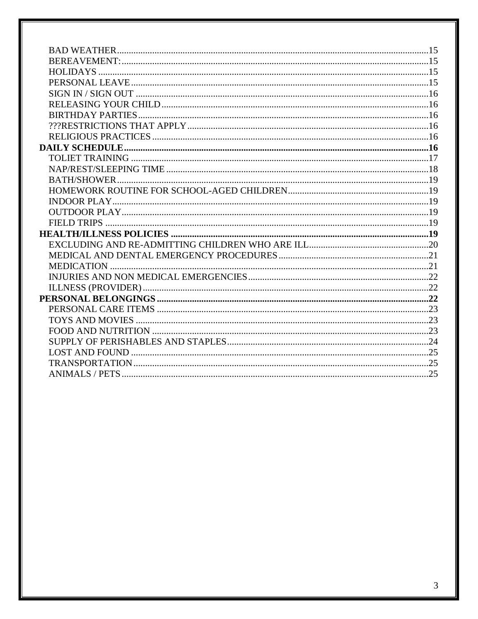<span id="page-2-0"></span>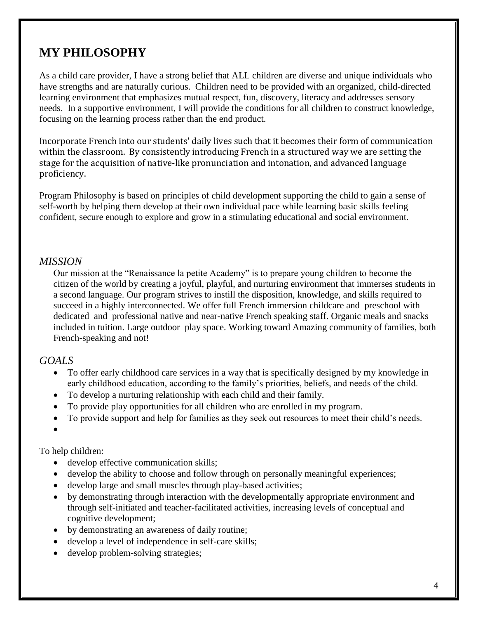# **MY PHILOSOPHY**

As a child care provider, I have a strong belief that ALL children are diverse and unique individuals who have strengths and are naturally curious. Children need to be provided with an organized, child-directed learning environment that emphasizes mutual respect, fun, discovery, literacy and addresses sensory needs. In a supportive environment, I will provide the conditions for all children to construct knowledge, focusing on the learning process rather than the end product.

Incorporate French into our students' daily lives such that it becomes their form of communication within the classroom. By consistently introducing French in a structured way we are setting the stage for the acquisition of native-like pronunciation and intonation, and advanced language proficiency.

Program Philosophy is based on principles of child development supporting the child to gain a sense of self-worth by helping them develop at their own individual pace while learning basic skills feeling confident, secure enough to explore and grow in a stimulating educational and social environment.

#### <span id="page-3-0"></span>*MISSION*

Our mission at the "Renaissance la petite Academy" is to prepare young children to become the citizen of the world by creating a joyful, playful, and nurturing environment that immerses students in a second language. Our program strives to instill the disposition, knowledge, and skills required to succeed in a highly interconnected. We offer full French immersion childcare and preschool with dedicated and professional native and near-native French speaking staff. Organic meals and snacks included in tuition. Large outdoor play space. Working toward Amazing community of families, both French-speaking and not!

#### <span id="page-3-1"></span>*GOALS*

- To offer early childhood care services in a way that is specifically designed by my knowledge in early childhood education, according to the family's priorities, beliefs, and needs of the child.
- To develop a nurturing relationship with each child and their family.
- To provide play opportunities for all children who are enrolled in my program.
- To provide support and help for families as they seek out resources to meet their child's needs.
- $\bullet$

## To help children:

- develop effective communication skills;
- develop the ability to choose and follow through on personally meaningful experiences;
- develop large and small muscles through play-based activities;
- by demonstrating through interaction with the developmentally appropriate environment and through self-initiated and teacher-facilitated activities, increasing levels of conceptual and cognitive development;
- by demonstrating an awareness of daily routine;
- develop a level of independence in self-care skills;
- develop problem-solving strategies;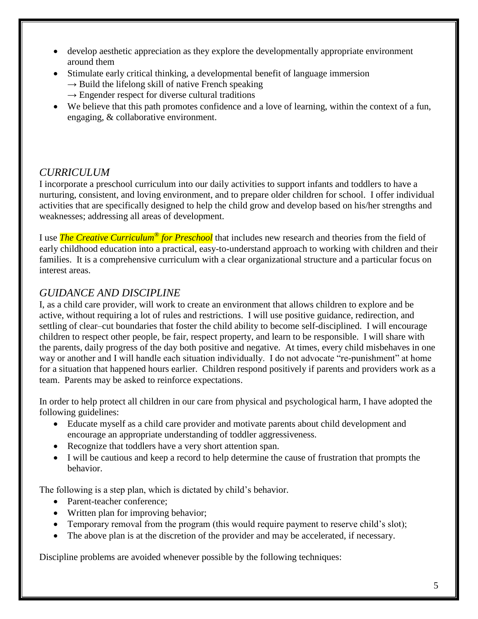- develop aesthetic appreciation as they explore the developmentally appropriate environment around them
- Stimulate early critical thinking, a developmental benefit of language immersion
	- $\rightarrow$  Build the lifelong skill of native French speaking
	- $\rightarrow$  Engender respect for diverse cultural traditions
- We believe that this path promotes confidence and a love of learning, within the context of a fun, engaging, & collaborative environment.

## <span id="page-4-0"></span>*CURRICULUM*

I incorporate a preschool curriculum into our daily activities to support infants and toddlers to have a nurturing, consistent, and loving environment, and to prepare older children for school. I offer individual activities that are specifically designed to help the child grow and develop based on his/her strengths and weaknesses; addressing all areas of development.

I use *The Creative Curriculum® for Preschool* that includes new research and theories from the field of early childhood education into a practical, easy-to-understand approach to working with children and their families. It is a comprehensive curriculum with a clear organizational structure and a particular focus on interest areas.

## <span id="page-4-1"></span>*GUIDANCE AND DISCIPLINE*

I, as a child care provider, will work to create an environment that allows children to explore and be active, without requiring a lot of rules and restrictions. I will use positive guidance, redirection, and settling of clear–cut boundaries that foster the child ability to become self-disciplined. I will encourage children to respect other people, be fair, respect property, and learn to be responsible. I will share with the parents, daily progress of the day both positive and negative. At times, every child misbehaves in one way or another and I will handle each situation individually. I do not advocate "re-punishment" at home for a situation that happened hours earlier. Children respond positively if parents and providers work as a team. Parents may be asked to reinforce expectations.

In order to help protect all children in our care from physical and psychological harm, I have adopted the following guidelines:

- Educate myself as a child care provider and motivate parents about child development and encourage an appropriate understanding of toddler aggressiveness.
- Recognize that toddlers have a very short attention span.
- I will be cautious and keep a record to help determine the cause of frustration that prompts the behavior.

The following is a step plan, which is dictated by child's behavior.

- Parent-teacher conference;
- Written plan for improving behavior;
- Temporary removal from the program (this would require payment to reserve child's slot);
- The above plan is at the discretion of the provider and may be accelerated, if necessary.

Discipline problems are avoided whenever possible by the following techniques: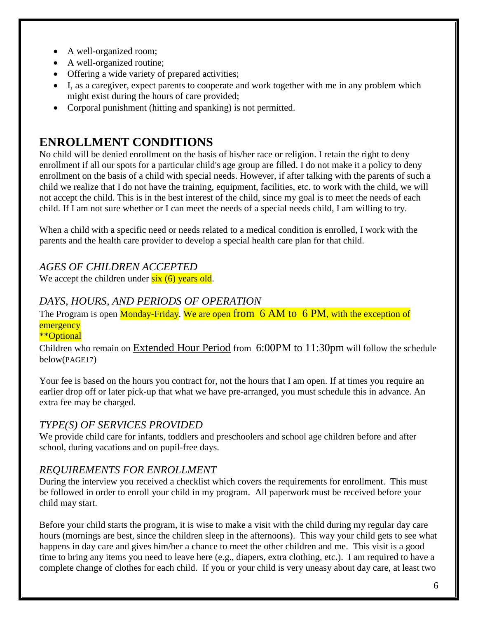- A well-organized room;
- A well-organized routine;
- Offering a wide variety of prepared activities;
- I, as a caregiver, expect parents to cooperate and work together with me in any problem which might exist during the hours of care provided;
- Corporal punishment (hitting and spanking) is not permitted.

# <span id="page-5-0"></span>**ENROLLMENT CONDITIONS**

No child will be denied enrollment on the basis of his/her race or religion. I retain the right to deny enrollment if all our spots for a particular child's age group are filled. I do not make it a policy to deny enrollment on the basis of a child with special needs. However, if after talking with the parents of such a child we realize that I do not have the training, equipment, facilities, etc. to work with the child, we will not accept the child. This is in the best interest of the child, since my goal is to meet the needs of each child. If I am not sure whether or I can meet the needs of a special needs child, I am willing to try.

When a child with a specific need or needs related to a medical condition is enrolled, I work with the parents and the health care provider to develop a special health care plan for that child.

## <span id="page-5-1"></span>*AGES OF CHILDREN ACCEPTED*

We accept the children under  $six(6)$  years old.

## <span id="page-5-2"></span>*DAYS, HOURS, AND PERIODS OF OPERATION*

The Program is open Monday-Friday. We are open from 6 AM to 6 PM, with the exception of **emergency** 

#### \*\*Optional

Children who remain on Extended Hour Period from 6:00PM to 11:30pm will follow the schedule below(PAGE17)

Your fee is based on the hours you contract for, not the hours that I am open. If at times you require an earlier drop off or later pick-up that what we have pre-arranged, you must schedule this in advance. An extra fee may be charged.

## <span id="page-5-3"></span>*TYPE(S) OF SERVICES PROVIDED*

We provide child care for infants, toddlers and preschoolers and school age children before and after school, during vacations and on pupil-free days.

## <span id="page-5-4"></span>*REQUIREMENTS FOR ENROLLMENT*

During the interview you received a checklist which covers the requirements for enrollment. This must be followed in order to enroll your child in my program. All paperwork must be received before your child may start.

Before your child starts the program, it is wise to make a visit with the child during my regular day care hours (mornings are best, since the children sleep in the afternoons). This way your child gets to see what happens in day care and gives him/her a chance to meet the other children and me. This visit is a good time to bring any items you need to leave here (e.g., diapers, extra clothing, etc.). I am required to have a complete change of clothes for each child. If you or your child is very uneasy about day care, at least two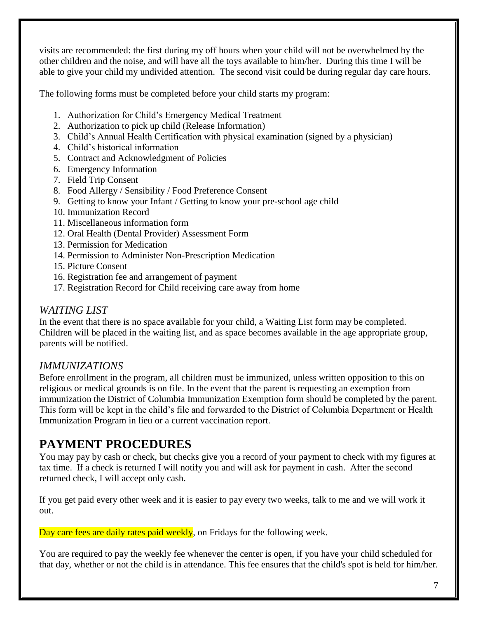visits are recommended: the first during my off hours when your child will not be overwhelmed by the other children and the noise, and will have all the toys available to him/her. During this time I will be able to give your child my undivided attention. The second visit could be during regular day care hours.

The following forms must be completed before your child starts my program:

- 1. Authorization for Child's Emergency Medical Treatment
- 2. Authorization to pick up child (Release Information)
- 3. Child's Annual Health Certification with physical examination (signed by a physician)
- 4. Child's historical information
- 5. Contract and Acknowledgment of Policies
- 6. Emergency Information
- 7. Field Trip Consent
- 8. Food Allergy / Sensibility / Food Preference Consent
- 9. Getting to know your Infant / Getting to know your pre-school age child
- 10. Immunization Record
- 11. Miscellaneous information form
- 12. Oral Health (Dental Provider) Assessment Form
- 13. Permission for Medication
- 14. Permission to Administer Non-Prescription Medication
- 15. Picture Consent
- 16. Registration fee and arrangement of payment
- 17. Registration Record for Child receiving care away from home

## <span id="page-6-0"></span>*WAITING LIST*

In the event that there is no space available for your child, a Waiting List form may be completed. Children will be placed in the waiting list, and as space becomes available in the age appropriate group, parents will be notified.

## <span id="page-6-1"></span>*IMMUNIZATIONS*

Before enrollment in the program, all children must be immunized, unless written opposition to this on religious or medical grounds is on file. In the event that the parent is requesting an exemption from immunization the District of Columbia Immunization Exemption form should be completed by the parent. This form will be kept in the child's file and forwarded to the District of Columbia Department or Health Immunization Program in lieu or a current vaccination report.

# <span id="page-6-2"></span>**PAYMENT PROCEDURES**

You may pay by cash or check, but checks give you a record of your payment to check with my figures at tax time. If a check is returned I will notify you and will ask for payment in cash. After the second returned check, I will accept only cash.

If you get paid every other week and it is easier to pay every two weeks, talk to me and we will work it out.

Day care fees are daily rates paid weekly, on Fridays for the following week.

You are required to pay the weekly fee whenever the center is open, if you have your child scheduled for that day, whether or not the child is in attendance. This fee ensures that the child's spot is held for him/her.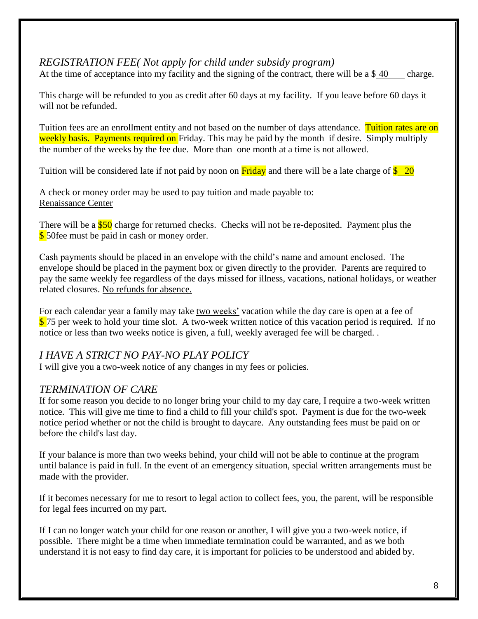## <span id="page-7-0"></span>*REGISTRATION FEE( Not apply for child under subsidy program)*

At the time of acceptance into my facility and the signing of the contract, there will be a \$40 charge.

This charge will be refunded to you as credit after 60 days at my facility. If you leave before 60 days it will not be refunded.

Tuition fees are an enrollment entity and not based on the number of days attendance. Tuition rates are on weekly basis. Payments required on Friday. This may be paid by the month if desire. Simply multiply the number of the weeks by the fee due. More than one month at a time is not allowed.

Tuition will be considered late if not paid by noon on **Friday** and there will be a late charge of  $\frac{$20}{}$ 

A check or money order may be used to pay tuition and made payable to: Renaissance Center

There will be a \$50 charge for returned checks. Checks will not be re-deposited. Payment plus the **\$** 50fee must be paid in cash or money order.

Cash payments should be placed in an envelope with the child's name and amount enclosed. The envelope should be placed in the payment box or given directly to the provider. Parents are required to pay the same weekly fee regardless of the days missed for illness, vacations, national holidays, or weather related closures. No refunds for absence.

For each calendar year a family may take two weeks' vacation while the day care is open at a fee of \$75 per week to hold your time slot. A two-week written notice of this vacation period is required. If no notice or less than two weeks notice is given, a full, weekly averaged fee will be charged. .

## <span id="page-7-1"></span>*I HAVE A STRICT NO PAY-NO PLAY POLICY*

I will give you a two-week notice of any changes in my fees or policies.

## <span id="page-7-2"></span>*TERMINATION OF CARE*

If for some reason you decide to no longer bring your child to my day care, I require a two-week written notice. This will give me time to find a child to fill your child's spot. Payment is due for the two-week notice period whether or not the child is brought to daycare. Any outstanding fees must be paid on or before the child's last day.

If your balance is more than two weeks behind, your child will not be able to continue at the program until balance is paid in full. In the event of an emergency situation, special written arrangements must be made with the provider.

If it becomes necessary for me to resort to legal action to collect fees, you, the parent, will be responsible for legal fees incurred on my part.

If I can no longer watch your child for one reason or another, I will give you a two-week notice, if possible. There might be a time when immediate termination could be warranted, and as we both understand it is not easy to find day care, it is important for policies to be understood and abided by.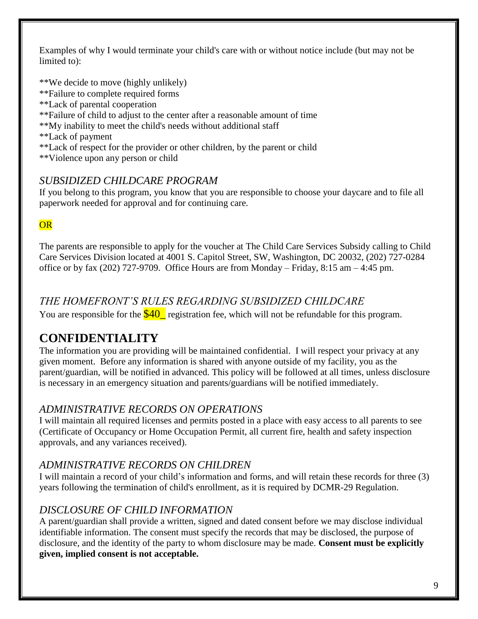Examples of why I would terminate your child's care with or without notice include (but may not be limited to):

\*\*We decide to move (highly unlikely)

- \*\*Failure to complete required forms
- \*\*Lack of parental cooperation
- \*\*Failure of child to adjust to the center after a reasonable amount of time
- \*\*My inability to meet the child's needs without additional staff

\*\*Lack of payment

\*\*Lack of respect for the provider or other children, by the parent or child

\*\*Violence upon any person or child

## <span id="page-8-0"></span>*SUBSIDIZED CHILDCARE PROGRAM*

If you belong to this program, you know that you are responsible to choose your daycare and to file all paperwork needed for approval and for continuing care.

## **OR**

The parents are responsible to apply for the voucher at The Child Care Services Subsidy calling to Child Care Services Division located at 4001 S. Capitol Street, SW, Washington, DC 20032, (202) 727-0284 office or by fax (202) 727-9709. Office Hours are from Monday – Friday, 8:15 am – 4:45 pm.

## <span id="page-8-1"></span>*THE HOMEFRONT'S RULES REGARDING SUBSIDIZED CHILDCARE*

You are responsible for the  $$40$  registration fee, which will not be refundable for this program.

# <span id="page-8-2"></span>**CONFIDENTIALITY**

The information you are providing will be maintained confidential. I will respect your privacy at any given moment. Before any information is shared with anyone outside of my facility, you as the parent/guardian, will be notified in advanced. This policy will be followed at all times, unless disclosure is necessary in an emergency situation and parents/guardians will be notified immediately.

## <span id="page-8-3"></span>*ADMINISTRATIVE RECORDS ON OPERATIONS*

I will maintain all required licenses and permits posted in a place with easy access to all parents to see (Certificate of Occupancy or Home Occupation Permit, all current fire, health and safety inspection approvals, and any variances received).

## <span id="page-8-4"></span>*ADMINISTRATIVE RECORDS ON CHILDREN*

I will maintain a record of your child's information and forms, and will retain these records for three (3) years following the termination of child's enrollment, as it is required by DCMR-29 Regulation.

## <span id="page-8-5"></span>*DISCLOSURE OF CHILD INFORMATION*

A parent/guardian shall provide a written, signed and dated consent before we may disclose individual identifiable information. The consent must specify the records that may be disclosed, the purpose of disclosure, and the identity of the party to whom disclosure may be made. **Consent must be explicitly given, implied consent is not acceptable.**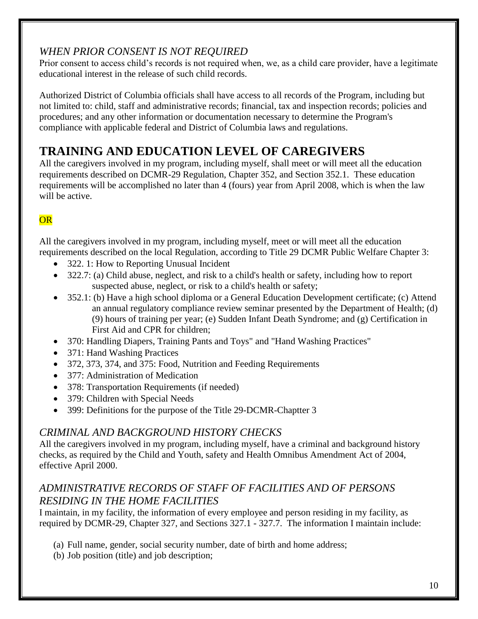## <span id="page-9-0"></span>*WHEN PRIOR CONSENT IS NOT REQUIRED*

Prior consent to access child's records is not required when, we, as a child care provider, have a legitimate educational interest in the release of such child records.

Authorized District of Columbia officials shall have access to all records of the Program, including but not limited to: child, staff and administrative records; financial, tax and inspection records; policies and procedures; and any other information or documentation necessary to determine the Program's compliance with applicable federal and District of Columbia laws and regulations.

# <span id="page-9-1"></span>**TRAINING AND EDUCATION LEVEL OF CAREGIVERS**

All the caregivers involved in my program, including myself, shall meet or will meet all the education requirements described on DCMR-29 Regulation, Chapter 352, and Section 352.1. These education requirements will be accomplished no later than 4 (fours) year from April 2008, which is when the law will be active.

## **OR**

All the caregivers involved in my program, including myself, meet or will meet all the education requirements described on the local Regulation, according to Title 29 DCMR Public Welfare Chapter 3:

- 322. 1: How to Reporting Unusual Incident
- 322.7: (a) Child abuse, neglect, and risk to a child's health or safety, including how to report suspected abuse, neglect, or risk to a child's health or safety;
- 352.1: (b) Have a high school diploma or a General Education Development certificate; (c) Attend an annual regulatory compliance review seminar presented by the Department of Health; (d) (9) hours of training per year; (e) Sudden Infant Death Syndrome; and (g) Certification in First Aid and CPR for children;
- 370: Handling Diapers, Training Pants and Toys" and "Hand Washing Practices"
- 371: Hand Washing Practices
- 372, 373, 374, and 375: Food, Nutrition and Feeding Requirements
- 377: Administration of Medication
- 378: Transportation Requirements (if needed)
- 379: Children with Special Needs
- 399: Definitions for the purpose of the Title 29-DCMR-Chaptter 3

## <span id="page-9-2"></span>*CRIMINAL AND BACKGROUND HISTORY CHECKS*

All the caregivers involved in my program, including myself, have a criminal and background history checks, as required by the Child and Youth, safety and Health Omnibus Amendment Act of 2004, effective April 2000.

## <span id="page-9-3"></span>*ADMINISTRATIVE RECORDS OF STAFF OF FACILITIES AND OF PERSONS RESIDING IN THE HOME FACILITIES*

I maintain, in my facility, the information of every employee and person residing in my facility, as required by DCMR-29, Chapter 327, and Sections 327.1 - 327.7. The information I maintain include:

- (a) Full name, gender, social security number, date of birth and home address;
- (b) Job position (title) and job description;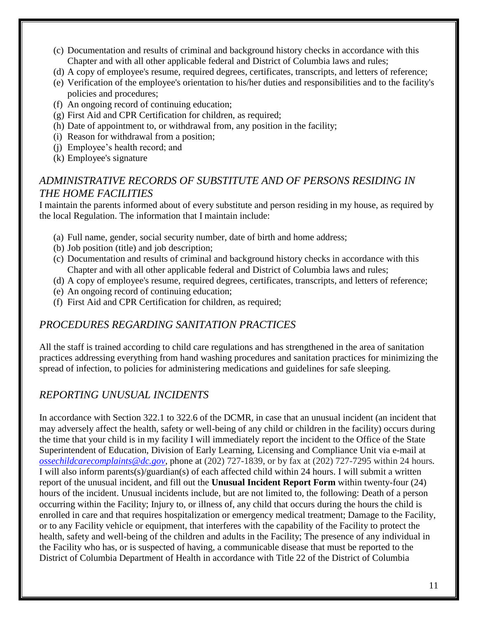- (c) Documentation and results of criminal and background history checks in accordance with this Chapter and with all other applicable federal and District of Columbia laws and rules;
- (d) A copy of employee's resume, required degrees, certificates, transcripts, and letters of reference;
- (e) Verification of the employee's orientation to his/her duties and responsibilities and to the facility's policies and procedures;
- (f) An ongoing record of continuing education;
- (g) First Aid and CPR Certification for children, as required;
- (h) Date of appointment to, or withdrawal from, any position in the facility;
- (i) Reason for withdrawal from a position;
- (j) Employee's health record; and
- (k) Employee's signature

## <span id="page-10-0"></span>*ADMINISTRATIVE RECORDS OF SUBSTITUTE AND OF PERSONS RESIDING IN THE HOME FACILITIES*

I maintain the parents informed about of every substitute and person residing in my house, as required by the local Regulation. The information that I maintain include:

- (a) Full name, gender, social security number, date of birth and home address;
- (b) Job position (title) and job description;
- (c) Documentation and results of criminal and background history checks in accordance with this Chapter and with all other applicable federal and District of Columbia laws and rules;
- (d) A copy of employee's resume, required degrees, certificates, transcripts, and letters of reference;
- (e) An ongoing record of continuing education;
- (f) First Aid and CPR Certification for children, as required;

## <span id="page-10-1"></span>*PROCEDURES REGARDING SANITATION PRACTICES*

All the staff is trained according to child care regulations and has strengthened in the area of sanitation practices addressing everything from hand washing procedures and sanitation practices for minimizing the spread of infection, to policies for administering medications and guidelines for safe sleeping.

## <span id="page-10-2"></span>*REPORTING UNUSUAL INCIDENTS*

In accordance with Section 322.1 to 322.6 of the DCMR, in case that an unusual incident (an incident that may adversely affect the health, safety or well-being of any child or children in the facility) occurs during the time that your child is in my facility I will immediately report the incident to the Office of the State Superintendent of Education, Division of Early Learning, Licensing and Compliance Unit via e-mail at *[ossechildcarecomplaints@dc.gov](mailto:ossechildcarecomplaints@dc.gov)*, phone at (202) 727-1839, or by fax at (202) 727-7295 within 24 hours*.*  I will also inform parents(s)/guardian(s) of each affected child within 24 hours. I will submit a written report of the unusual incident, and fill out the **Unusual Incident Report Form** within twenty-four (24) hours of the incident. Unusual incidents include, but are not limited to, the following: Death of a person occurring within the Facility; Injury to, or illness of, any child that occurs during the hours the child is enrolled in care and that requires hospitalization or emergency medical treatment; Damage to the Facility, or to any Facility vehicle or equipment, that interferes with the capability of the Facility to protect the health, safety and well-being of the children and adults in the Facility; The presence of any individual in the Facility who has, or is suspected of having, a communicable disease that must be reported to the District of Columbia Department of Health in accordance with Title 22 of the District of Columbia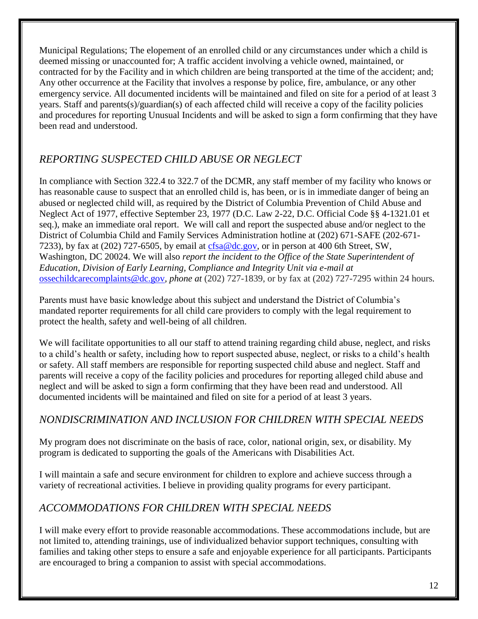Municipal Regulations; The elopement of an enrolled child or any circumstances under which a child is deemed missing or unaccounted for; A traffic accident involving a vehicle owned, maintained, or contracted for by the Facility and in which children are being transported at the time of the accident; and; Any other occurrence at the Facility that involves a response by police, fire, ambulance, or any other emergency service. All documented incidents will be maintained and filed on site for a period of at least 3 years. Staff and parents(s)/guardian(s) of each affected child will receive a copy of the facility policies and procedures for reporting Unusual Incidents and will be asked to sign a form confirming that they have been read and understood.

## <span id="page-11-0"></span>*REPORTING SUSPECTED CHILD ABUSE OR NEGLECT*

In compliance with Section 322.4 to 322.7 of the DCMR, any staff member of my facility who knows or has reasonable cause to suspect that an enrolled child is, has been, or is in immediate danger of being an abused or neglected child will, as required by the District of Columbia Prevention of Child Abuse and Neglect Act of 1977, effective September 23, 1977 (D.C. Law 2-22, D.C. Official Code §§ 4-1321.01 et seq.), make an immediate oral report. We will call and report the suspected abuse and/or neglect to the District of Columbia Child and Family Services Administration hotline at (202) 671-SAFE (202-671- 7233), by fax at (202) 727-6505, by email at  $cfsa@dc.gov$ , or in person at 400 6th Street, SW, Washington, DC 20024. We will also *report the incident to the Office of the State Superintendent of Education, Division of Early Learning, Compliance and Integrity Unit via e-mail at*  [ossechildcarecomplaints@dc.gov](mailto:ossechildcarecomplaints@dc.gov)*, phone at* (202) 727-1839, or by fax at (202) 727-7295 within 24 hours*.* 

Parents must have basic knowledge about this subject and understand the District of Columbia's mandated reporter requirements for all child care providers to comply with the legal requirement to protect the health, safety and well-being of all children.

We will facilitate opportunities to all our staff to attend training regarding child abuse, neglect, and risks to a child's health or safety, including how to report suspected abuse, neglect, or risks to a child's health or safety. All staff members are responsible for reporting suspected child abuse and neglect. Staff and parents will receive a copy of the facility policies and procedures for reporting alleged child abuse and neglect and will be asked to sign a form confirming that they have been read and understood. All documented incidents will be maintained and filed on site for a period of at least 3 years.

## <span id="page-11-1"></span>*NONDISCRIMINATION AND INCLUSION FOR CHILDREN WITH SPECIAL NEEDS*

My program does not discriminate on the basis of race, color, national origin, sex, or disability. My program is dedicated to supporting the goals of the Americans with Disabilities Act.

I will maintain a safe and secure environment for children to explore and achieve success through a variety of recreational activities. I believe in providing quality programs for every participant.

## <span id="page-11-2"></span>*ACCOMMODATIONS FOR CHILDREN WITH SPECIAL NEEDS*

I will make every effort to provide reasonable accommodations. These accommodations include, but are not limited to, attending trainings, use of individualized behavior support techniques, consulting with families and taking other steps to ensure a safe and enjoyable experience for all participants. Participants are encouraged to bring a companion to assist with special accommodations.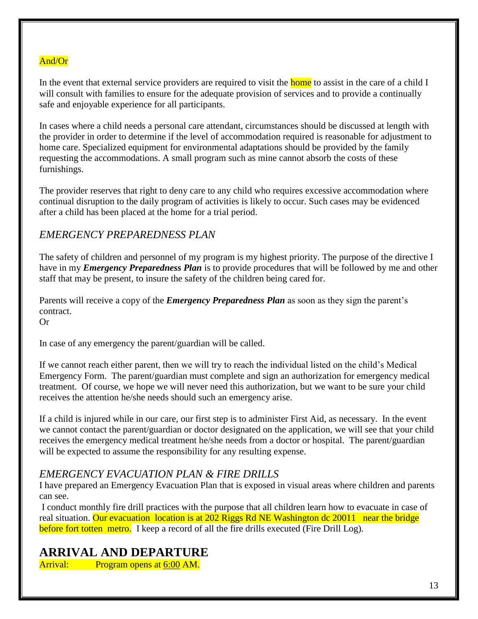#### And/Or

In the event that external service providers are required to visit the home to assist in the care of a child I will consult with families to ensure for the adequate provision of services and to provide a continually safe and enjoyable experience for all participants.

In cases where a child needs a personal care attendant, circumstances should be discussed at length with the provider in order to determine if the level of accommodation required is reasonable for adjustment to home care. Specialized equipment for environmental adaptations should be provided by the family requesting the accommodations. A small program such as mine cannot absorb the costs of these furnishings.

The provider reserves that right to deny care to any child who requires excessive accommodation where continual disruption to the daily program of activities is likely to occur. Such cases may be evidenced after a child has been placed at the home for a trial period.

#### <span id="page-12-0"></span>*EMERGENCY PREPAREDNESS PLAN*

The safety of children and personnel of my program is my highest priority. The purpose of the directive I have in my *Emergency Preparedness Plan* is to provide procedures that will be followed by me and other staff that may be present, to insure the safety of the children being cared for.

Parents will receive a copy of the *Emergency Preparedness Plan* as soon as they sign the parent's contract.

Or

In case of any emergency the parent/guardian will be called.

If we cannot reach either parent, then we will try to reach the individual listed on the child's Medical Emergency Form. The parent/guardian must complete and sign an authorization for emergency medical treatment. Of course, we hope we will never need this authorization, but we want to be sure your child receives the attention he/she needs should such an emergency arise.

If a child is injured while in our care, our first step is to administer First Aid, as necessary. In the event we cannot contact the parent/guardian or doctor designated on the application, we will see that your child receives the emergency medical treatment he/she needs from a doctor or hospital. The parent/guardian will be expected to assume the responsibility for any resulting expense.

#### <span id="page-12-1"></span>*EMERGENCY EVACUATION PLAN & FIRE DRILLS*

I have prepared an Emergency Evacuation Plan that is exposed in visual areas where children and parents can see.

I conduct monthly fire drill practices with the purpose that all children learn how to evacuate in case of real situation. Our evacuation location is at 202 Riggs Rd NE Washington dc 20011 near the bridge before fort totten metro. I keep a record of all the fire drills executed (Fire Drill Log).

## <span id="page-12-2"></span>**ARRIVAL AND DEPARTURE**

Arrival: Program opens at 6:00 AM.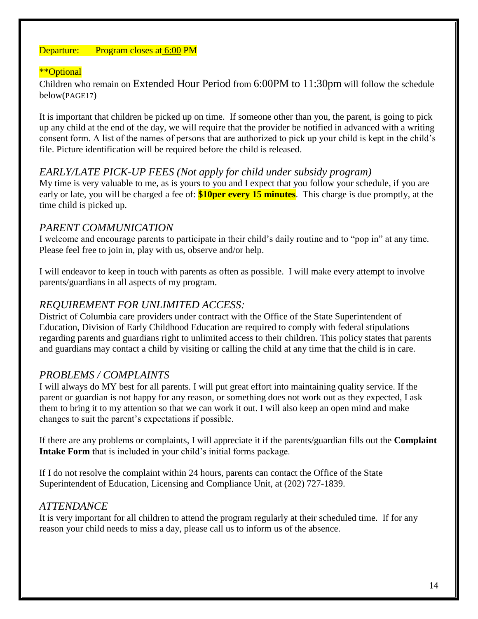#### Departure: Program closes at 6:00 PM

#### \*\*Optional

Children who remain on Extended Hour Period from 6:00PM to 11:30pm will follow the schedule below(PAGE17)

It is important that children be picked up on time. If someone other than you, the parent, is going to pick up any child at the end of the day, we will require that the provider be notified in advanced with a writing consent form. A list of the names of persons that are authorized to pick up your child is kept in the child's file. Picture identification will be required before the child is released.

#### <span id="page-13-0"></span>*EARLY/LATE PICK-UP FEES (Not apply for child under subsidy program)*

My time is very valuable to me, as is yours to you and I expect that you follow your schedule, if you are early or late, you will be charged a fee of: **\$10per every 15 minutes**. This charge is due promptly, at the time child is picked up.

#### <span id="page-13-1"></span>*PARENT COMMUNICATION*

I welcome and encourage parents to participate in their child's daily routine and to "pop in" at any time. Please feel free to join in, play with us, observe and/or help.

I will endeavor to keep in touch with parents as often as possible. I will make every attempt to involve parents/guardians in all aspects of my program.

#### <span id="page-13-2"></span>*REQUIREMENT FOR UNLIMITED ACCESS:*

District of Columbia care providers under contract with the Office of the State Superintendent of Education, Division of Early Childhood Education are required to comply with federal stipulations regarding parents and guardians right to unlimited access to their children. This policy states that parents and guardians may contact a child by visiting or calling the child at any time that the child is in care.

#### <span id="page-13-3"></span>*PROBLEMS / COMPLAINTS*

I will always do MY best for all parents. I will put great effort into maintaining quality service. If the parent or guardian is not happy for any reason, or something does not work out as they expected, I ask them to bring it to my attention so that we can work it out. I will also keep an open mind and make changes to suit the parent's expectations if possible.

If there are any problems or complaints, I will appreciate it if the parents/guardian fills out the **Complaint Intake Form** that is included in your child's initial forms package.

If I do not resolve the complaint within 24 hours, parents can contact the Office of the State Superintendent of Education, Licensing and Compliance Unit, at (202) 727-1839.

#### <span id="page-13-4"></span>*ATTENDANCE*

It is very important for all children to attend the program regularly at their scheduled time. If for any reason your child needs to miss a day, please call us to inform us of the absence.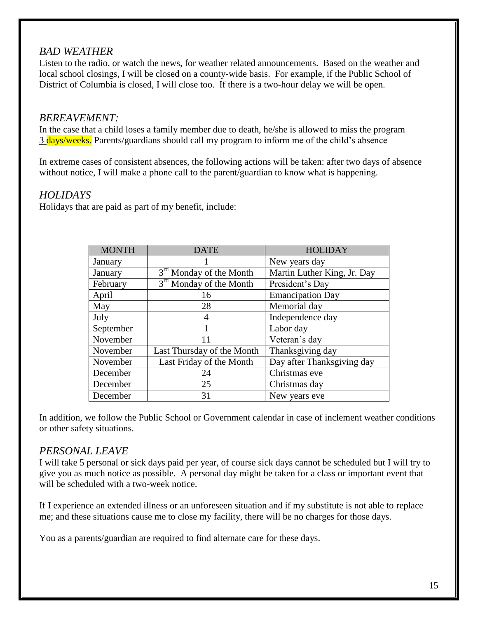#### <span id="page-14-0"></span>*BAD WEATHER*

Listen to the radio, or watch the news, for weather related announcements. Based on the weather and local school closings, I will be closed on a county-wide basis. For example, if the Public School of District of Columbia is closed, I will close too. If there is a two-hour delay we will be open.

#### <span id="page-14-1"></span>*BEREAVEMENT:*

In the case that a child loses a family member due to death, he/she is allowed to miss the program 3 days/weeks. Parents/guardians should call my program to inform me of the child's absence

In extreme cases of consistent absences, the following actions will be taken: after two days of absence without notice, I will make a phone call to the parent/guardian to know what is happening.

#### <span id="page-14-2"></span>*HOLIDAYS*

Holidays that are paid as part of my benefit, include:

| <b>MONTH</b> | <b>DATE</b>                         | <b>HOLIDAY</b>              |
|--------------|-------------------------------------|-----------------------------|
| January      |                                     | New years day               |
| January      | 3 <sup>rd</sup> Monday of the Month | Martin Luther King, Jr. Day |
| February     | 3 <sup>rd</sup> Monday of the Month | President's Day             |
| April        | 16                                  | <b>Emancipation Day</b>     |
| May          | 28                                  | Memorial day                |
| July         |                                     | Independence day            |
| September    |                                     | Labor day                   |
| November     | 11                                  | Veteran's day               |
| November     | Last Thursday of the Month          | Thanksgiving day            |
| November     | Last Friday of the Month            | Day after Thanksgiving day  |
| December     | 24                                  | Christmas eve               |
| December     | 25                                  | Christmas day               |
| December     | 31                                  | New years eve               |

In addition, we follow the Public School or Government calendar in case of inclement weather conditions or other safety situations.

#### <span id="page-14-3"></span>*PERSONAL LEAVE*

I will take 5 personal or sick days paid per year, of course sick days cannot be scheduled but I will try to give you as much notice as possible. A personal day might be taken for a class or important event that will be scheduled with a two-week notice.

If I experience an extended illness or an unforeseen situation and if my substitute is not able to replace me; and these situations cause me to close my facility, there will be no charges for those days.

You as a parents/guardian are required to find alternate care for these days.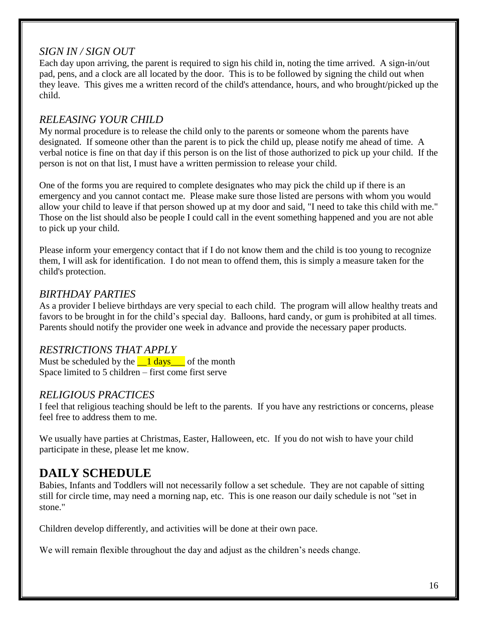## <span id="page-15-0"></span>*SIGN IN / SIGN OUT*

Each day upon arriving, the parent is required to sign his child in, noting the time arrived. A sign-in/out pad, pens, and a clock are all located by the door. This is to be followed by signing the child out when they leave. This gives me a written record of the child's attendance, hours, and who brought/picked up the child.

## <span id="page-15-1"></span>*RELEASING YOUR CHILD*

My normal procedure is to release the child only to the parents or someone whom the parents have designated. If someone other than the parent is to pick the child up, please notify me ahead of time. A verbal notice is fine on that day if this person is on the list of those authorized to pick up your child. If the person is not on that list, I must have a written permission to release your child.

One of the forms you are required to complete designates who may pick the child up if there is an emergency and you cannot contact me. Please make sure those listed are persons with whom you would allow your child to leave if that person showed up at my door and said, "I need to take this child with me." Those on the list should also be people I could call in the event something happened and you are not able to pick up your child.

Please inform your emergency contact that if I do not know them and the child is too young to recognize them, I will ask for identification. I do not mean to offend them, this is simply a measure taken for the child's protection.

## <span id="page-15-2"></span>*BIRTHDAY PARTIES*

As a provider I believe birthdays are very special to each child. The program will allow healthy treats and favors to be brought in for the child's special day. Balloons, hard candy, or gum is prohibited at all times. Parents should notify the provider one week in advance and provide the necessary paper products.

## <span id="page-15-3"></span>*RESTRICTIONS THAT APPLY*

Must be scheduled by the  $\frac{1 \text{ days}}{1 \text{ days}}$  of the month Space limited to 5 children – first come first serve

## <span id="page-15-4"></span>*RELIGIOUS PRACTICES*

I feel that religious teaching should be left to the parents. If you have any restrictions or concerns, please feel free to address them to me.

We usually have parties at Christmas, Easter, Halloween, etc. If you do not wish to have your child participate in these, please let me know.

# <span id="page-15-5"></span>**DAILY SCHEDULE**

Babies, Infants and Toddlers will not necessarily follow a set schedule. They are not capable of sitting still for circle time, may need a morning nap, etc. This is one reason our daily schedule is not "set in stone."

Children develop differently, and activities will be done at their own pace.

We will remain flexible throughout the day and adjust as the children's needs change.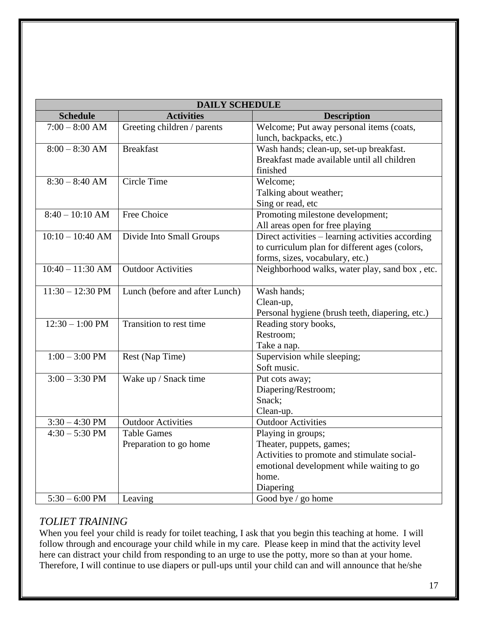| <b>DAILY SCHEDULE</b>      |                                |                                                   |  |  |  |  |
|----------------------------|--------------------------------|---------------------------------------------------|--|--|--|--|
| <b>Schedule</b>            | <b>Activities</b>              | <b>Description</b>                                |  |  |  |  |
| $7:00 - 8:00$ AM           | Greeting children / parents    | Welcome; Put away personal items (coats,          |  |  |  |  |
|                            |                                | lunch, backpacks, etc.)                           |  |  |  |  |
| $8:00 - 8:30$ AM           | <b>Breakfast</b>               | Wash hands; clean-up, set-up breakfast.           |  |  |  |  |
|                            |                                | Breakfast made available until all children       |  |  |  |  |
|                            |                                | finished                                          |  |  |  |  |
| $8:30 - 8:40$ AM           | Circle Time                    | Welcome;                                          |  |  |  |  |
|                            |                                | Talking about weather;                            |  |  |  |  |
|                            |                                | Sing or read, etc                                 |  |  |  |  |
| $8:40 - 10:10$ AM          | Free Choice                    | Promoting milestone development;                  |  |  |  |  |
|                            |                                | All areas open for free playing                   |  |  |  |  |
| $10:10 - 10:40$ AM         | Divide Into Small Groups       | Direct activities - learning activities according |  |  |  |  |
|                            |                                | to curriculum plan for different ages (colors,    |  |  |  |  |
|                            |                                | forms, sizes, vocabulary, etc.)                   |  |  |  |  |
| $10:40 - 11:30$ AM         | <b>Outdoor Activities</b>      | Neighborhood walks, water play, sand box, etc.    |  |  |  |  |
|                            |                                |                                                   |  |  |  |  |
| $11:30 - 12:30 \text{ PM}$ | Lunch (before and after Lunch) | Wash hands;                                       |  |  |  |  |
|                            |                                | Clean-up,                                         |  |  |  |  |
|                            |                                | Personal hygiene (brush teeth, diapering, etc.)   |  |  |  |  |
| $12:30 - 1:00$ PM          | Transition to rest time        | Reading story books,                              |  |  |  |  |
|                            |                                | Restroom;                                         |  |  |  |  |
|                            |                                | Take a nap.                                       |  |  |  |  |
| $1:00 - 3:00$ PM           | Rest (Nap Time)                | Supervision while sleeping;                       |  |  |  |  |
|                            |                                | Soft music.                                       |  |  |  |  |
| $3:00 - 3:30$ PM           | Wake up / Snack time           | Put cots away;                                    |  |  |  |  |
|                            |                                | Diapering/Restroom;                               |  |  |  |  |
|                            |                                | Snack;                                            |  |  |  |  |
|                            |                                | Clean-up.                                         |  |  |  |  |
| $3:30 - 4:30$ PM           | <b>Outdoor Activities</b>      | <b>Outdoor Activities</b>                         |  |  |  |  |
| $4:30 - 5:30$ PM           | <b>Table Games</b>             | Playing in groups;                                |  |  |  |  |
|                            | Preparation to go home         | Theater, puppets, games;                          |  |  |  |  |
|                            |                                | Activities to promote and stimulate social-       |  |  |  |  |
|                            |                                | emotional development while waiting to go         |  |  |  |  |
|                            |                                | home.                                             |  |  |  |  |
|                            |                                | Diapering                                         |  |  |  |  |
| $5:30 - 6:00$ PM           | Leaving                        | Good bye / go home                                |  |  |  |  |

## <span id="page-16-0"></span>*TOLIET TRAINING*

When you feel your child is ready for toilet teaching, I ask that you begin this teaching at home. I will follow through and encourage your child while in my care. Please keep in mind that the activity level here can distract your child from responding to an urge to use the potty, more so than at your home. Therefore, I will continue to use diapers or pull-ups until your child can and will announce that he/she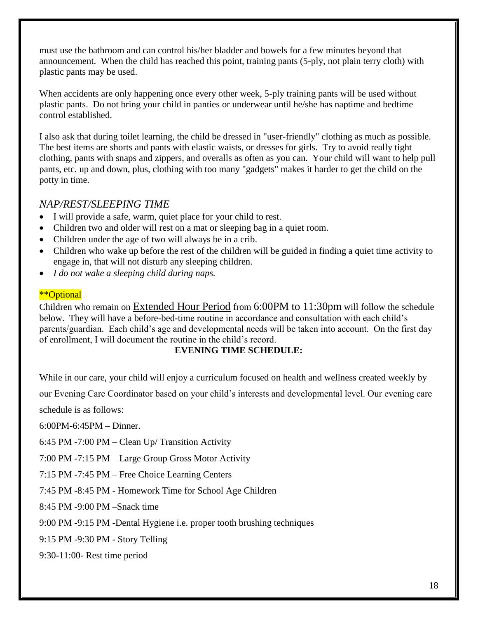must use the bathroom and can control his/her bladder and bowels for a few minutes beyond that announcement. When the child has reached this point, training pants (5-ply, not plain terry cloth) with plastic pants may be used.

When accidents are only happening once every other week, 5-ply training pants will be used without plastic pants. Do not bring your child in panties or underwear until he/she has naptime and bedtime control established.

I also ask that during toilet learning, the child be dressed in "user-friendly" clothing as much as possible. The best items are shorts and pants with elastic waists, or dresses for girls. Try to avoid really tight clothing, pants with snaps and zippers, and overalls as often as you can. Your child will want to help pull pants, etc. up and down, plus, clothing with too many "gadgets" makes it harder to get the child on the potty in time.

#### <span id="page-17-0"></span>*NAP/REST/SLEEPING TIME*

- I will provide a safe, warm, quiet place for your child to rest.
- Children two and older will rest on a mat or sleeping bag in a quiet room.
- Children under the age of two will always be in a crib.
- Children who wake up before the rest of the children will be guided in finding a quiet time activity to engage in, that will not disturb any sleeping children.
- *I do not wake a sleeping child during naps.*

#### \*\*Optional

Children who remain on Extended Hour Period from 6:00PM to 11:30pm will follow the schedule below. They will have a before-bed-time routine in accordance and consultation with each child's parents/guardian. Each child's age and developmental needs will be taken into account. On the first day of enrollment, I will document the routine in the child's record.

#### **EVENING TIME SCHEDULE:**

While in our care, your child will enjoy a curriculum focused on health and wellness created weekly by

our Evening Care Coordinator based on your child's interests and developmental level. Our evening care

schedule is as follows:

6:00PM-6:45PM – Dinner.

6:45 PM -7:00 PM – Clean Up/ Transition Activity

7:00 PM -7:15 PM – Large Group Gross Motor Activity

7:15 PM -7:45 PM – Free Choice Learning Centers

7:45 PM -8:45 PM - Homework Time for School Age Children

8:45 PM -9:00 PM –Snack time

9:00 PM -9:15 PM -Dental Hygiene i.e. proper tooth brushing techniques

9:15 PM -9:30 PM - Story Telling

9:30-11:00- Rest time period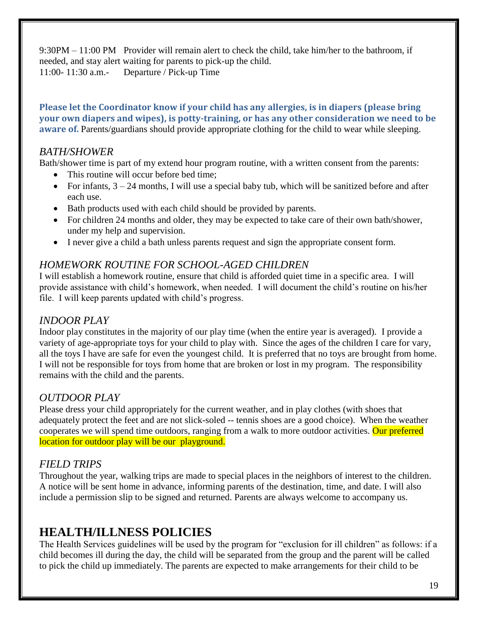9:30PM – 11:00 PM Provider will remain alert to check the child, take him/her to the bathroom, if needed, and stay alert waiting for parents to pick-up the child. 11:00- 11:30 a.m.- Departure / Pick-up Time

**Please let the Coordinator know if your child has any allergies, is in diapers (please bring your own diapers and wipes), is potty-training, or has any other consideration we need to be aware of.** Parents/guardians should provide appropriate clothing for the child to wear while sleeping.

## <span id="page-18-0"></span>*BATH/SHOWER*

Bath/shower time is part of my extend hour program routine, with a written consent from the parents:

- This routine will occur before bed time;
- For infants,  $3 24$  months, I will use a special baby tub, which will be sanitized before and after each use.
- Bath products used with each child should be provided by parents.
- For children 24 months and older, they may be expected to take care of their own bath/shower, under my help and supervision.
- I never give a child a bath unless parents request and sign the appropriate consent form.

## <span id="page-18-1"></span>*HOMEWORK ROUTINE FOR SCHOOL-AGED CHILDREN*

I will establish a homework routine, ensure that child is afforded quiet time in a specific area. I will provide assistance with child's homework, when needed. I will document the child's routine on his/her file. I will keep parents updated with child's progress.

## <span id="page-18-2"></span>*INDOOR PLAY*

Indoor play constitutes in the majority of our play time (when the entire year is averaged). I provide a variety of age-appropriate toys for your child to play with. Since the ages of the children I care for vary, all the toys I have are safe for even the youngest child. It is preferred that no toys are brought from home. I will not be responsible for toys from home that are broken or lost in my program. The responsibility remains with the child and the parents.

## <span id="page-18-3"></span>*OUTDOOR PLAY*

Please dress your child appropriately for the current weather, and in play clothes (with shoes that adequately protect the feet and are not slick-soled -- tennis shoes are a good choice). When the weather cooperates we will spend time outdoors, ranging from a walk to more outdoor activities. Our preferred location for outdoor play will be our playground.

## <span id="page-18-4"></span>*FIELD TRIPS*

Throughout the year, walking trips are made to special places in the neighbors of interest to the children. A notice will be sent home in advance, informing parents of the destination, time, and date. I will also include a permission slip to be signed and returned. Parents are always welcome to accompany us.

# <span id="page-18-5"></span>**HEALTH/ILLNESS POLICIES**

The Health Services guidelines will be used by the program for "exclusion for ill children" as follows: if a child becomes ill during the day, the child will be separated from the group and the parent will be called to pick the child up immediately. The parents are expected to make arrangements for their child to be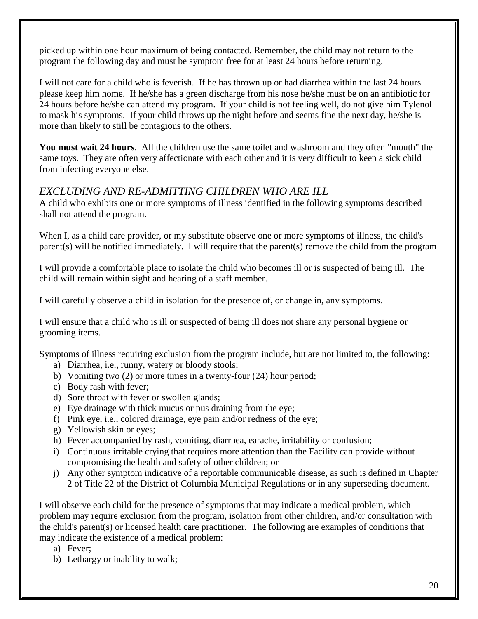picked up within one hour maximum of being contacted. Remember, the child may not return to the program the following day and must be symptom free for at least 24 hours before returning.

I will not care for a child who is feverish. If he has thrown up or had diarrhea within the last 24 hours please keep him home. If he/she has a green discharge from his nose he/she must be on an antibiotic for 24 hours before he/she can attend my program. If your child is not feeling well, do not give him Tylenol to mask his symptoms. If your child throws up the night before and seems fine the next day, he/she is more than likely to still be contagious to the others.

**You must wait 24 hours**. All the children use the same toilet and washroom and they often "mouth" the same toys. They are often very affectionate with each other and it is very difficult to keep a sick child from infecting everyone else.

## <span id="page-19-0"></span>*EXCLUDING AND RE-ADMITTING CHILDREN WHO ARE ILL*

A child who exhibits one or more symptoms of illness identified in the following symptoms described shall not attend the program.

When I, as a child care provider, or my substitute observe one or more symptoms of illness, the child's parent(s) will be notified immediately. I will require that the parent(s) remove the child from the program

I will provide a comfortable place to isolate the child who becomes ill or is suspected of being ill. The child will remain within sight and hearing of a staff member.

I will carefully observe a child in isolation for the presence of, or change in, any symptoms.

I will ensure that a child who is ill or suspected of being ill does not share any personal hygiene or grooming items.

Symptoms of illness requiring exclusion from the program include, but are not limited to, the following:

- a) Diarrhea, i.e., runny, watery or bloody stools;
- b) Vomiting two (2) or more times in a twenty-four (24) hour period;
- c) Body rash with fever;
- d) Sore throat with fever or swollen glands;
- e) Eye drainage with thick mucus or pus draining from the eye;
- f) Pink eye, i.e., colored drainage, eye pain and/or redness of the eye;
- g) Yellowish skin or eyes;
- h) Fever accompanied by rash, vomiting, diarrhea, earache, irritability or confusion;
- i) Continuous irritable crying that requires more attention than the Facility can provide without compromising the health and safety of other children; or
- j) Any other symptom indicative of a reportable communicable disease, as such is defined in Chapter 2 of Title 22 of the District of Columbia Municipal Regulations or in any superseding document.

I will observe each child for the presence of symptoms that may indicate a medical problem, which problem may require exclusion from the program, isolation from other children, and/or consultation with the child's parent(s) or licensed health care practitioner. The following are examples of conditions that may indicate the existence of a medical problem:

- a) Fever;
- b) Lethargy or inability to walk;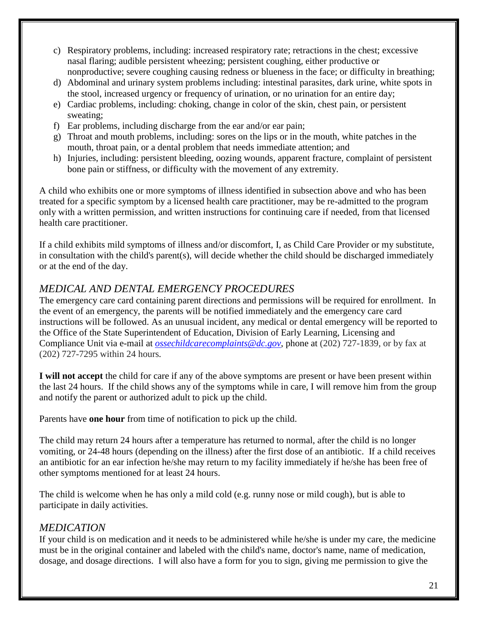- c) Respiratory problems, including: increased respiratory rate; retractions in the chest; excessive nasal flaring; audible persistent wheezing; persistent coughing, either productive or nonproductive; severe coughing causing redness or blueness in the face; or difficulty in breathing;
- d) Abdominal and urinary system problems including: intestinal parasites, dark urine, white spots in the stool, increased urgency or frequency of urination, or no urination for an entire day;
- e) Cardiac problems, including: choking, change in color of the skin, chest pain, or persistent sweating;
- f) Ear problems, including discharge from the ear and/or ear pain;
- g) Throat and mouth problems, including: sores on the lips or in the mouth, white patches in the mouth, throat pain, or a dental problem that needs immediate attention; and
- h) Injuries, including: persistent bleeding, oozing wounds, apparent fracture, complaint of persistent bone pain or stiffness, or difficulty with the movement of any extremity.

A child who exhibits one or more symptoms of illness identified in subsection above and who has been treated for a specific symptom by a licensed health care practitioner, may be re-admitted to the program only with a written permission, and written instructions for continuing care if needed, from that licensed health care practitioner.

If a child exhibits mild symptoms of illness and/or discomfort, I, as Child Care Provider or my substitute, in consultation with the child's parent(s), will decide whether the child should be discharged immediately or at the end of the day.

## <span id="page-20-0"></span>*MEDICAL AND DENTAL EMERGENCY PROCEDURES*

The emergency care card containing parent directions and permissions will be required for enrollment. In the event of an emergency, the parents will be notified immediately and the emergency care card instructions will be followed. As an unusual incident, any medical or dental emergency will be reported to the Office of the State Superintendent of Education, Division of Early Learning, Licensing and Compliance Unit via e-mail at *[ossechildcarecomplaints@dc.gov](mailto:ossechildcarecomplaints@dc.gov)*, phone at (202) 727-1839, or by fax at (202) 727-7295 within 24 hours*.* 

**I will not accept** the child for care if any of the above symptoms are present or have been present within the last 24 hours. If the child shows any of the symptoms while in care, I will remove him from the group and notify the parent or authorized adult to pick up the child.

Parents have **one hour** from time of notification to pick up the child.

The child may return 24 hours after a temperature has returned to normal, after the child is no longer vomiting, or 24-48 hours (depending on the illness) after the first dose of an antibiotic. If a child receives an antibiotic for an ear infection he/she may return to my facility immediately if he/she has been free of other symptoms mentioned for at least 24 hours.

The child is welcome when he has only a mild cold (e.g. runny nose or mild cough), but is able to participate in daily activities.

## <span id="page-20-1"></span>*MEDICATION*

If your child is on medication and it needs to be administered while he/she is under my care, the medicine must be in the original container and labeled with the child's name, doctor's name, name of medication, dosage, and dosage directions. I will also have a form for you to sign, giving me permission to give the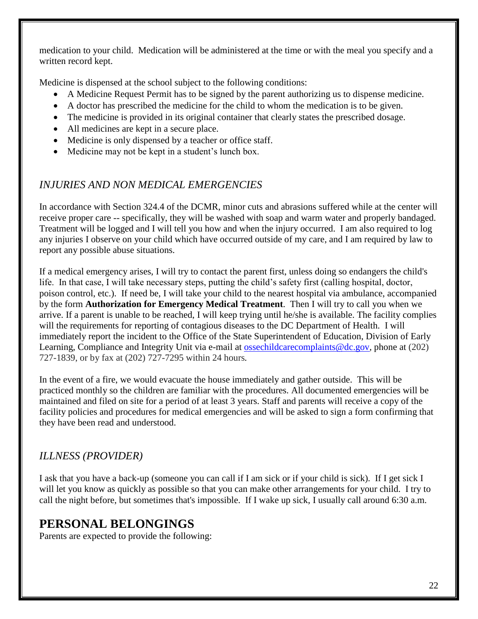medication to your child. Medication will be administered at the time or with the meal you specify and a written record kept.

Medicine is dispensed at the school subject to the following conditions:

- A Medicine Request Permit has to be signed by the parent authorizing us to dispense medicine.
- A doctor has prescribed the medicine for the child to whom the medication is to be given.
- The medicine is provided in its original container that clearly states the prescribed dosage.
- All medicines are kept in a secure place.
- Medicine is only dispensed by a teacher or office staff.
- Medicine may not be kept in a student's lunch box.

## <span id="page-21-0"></span>*INJURIES AND NON MEDICAL EMERGENCIES*

In accordance with Section 324.4 of the DCMR, minor cuts and abrasions suffered while at the center will receive proper care -- specifically, they will be washed with soap and warm water and properly bandaged. Treatment will be logged and I will tell you how and when the injury occurred. I am also required to log any injuries I observe on your child which have occurred outside of my care, and I am required by law to report any possible abuse situations.

If a medical emergency arises, I will try to contact the parent first, unless doing so endangers the child's life. In that case, I will take necessary steps, putting the child's safety first (calling hospital, doctor, poison control, etc.). If need be, I will take your child to the nearest hospital via ambulance, accompanied by the form **Authorization for Emergency Medical Treatment**. Then I will try to call you when we arrive. If a parent is unable to be reached, I will keep trying until he/she is available. The facility complies will the requirements for reporting of contagious diseases to the DC Department of Health. I will immediately report the incident to the Office of the State Superintendent of Education, Division of Early Learning, Compliance and Integrity Unit via e-mail at **ossechildcarecomplaints@dc.gov**, phone at (202) 727-1839, or by fax at (202) 727-7295 within 24 hours*.*

In the event of a fire, we would evacuate the house immediately and gather outside. This will be practiced monthly so the children are familiar with the procedures. All documented emergencies will be maintained and filed on site for a period of at least 3 years. Staff and parents will receive a copy of the facility policies and procedures for medical emergencies and will be asked to sign a form confirming that they have been read and understood.

## <span id="page-21-1"></span>*ILLNESS (PROVIDER)*

I ask that you have a back-up (someone you can call if I am sick or if your child is sick). If I get sick I will let you know as quickly as possible so that you can make other arrangements for your child. I try to call the night before, but sometimes that's impossible. If I wake up sick, I usually call around 6:30 a.m.

# <span id="page-21-2"></span>**PERSONAL BELONGINGS**

Parents are expected to provide the following: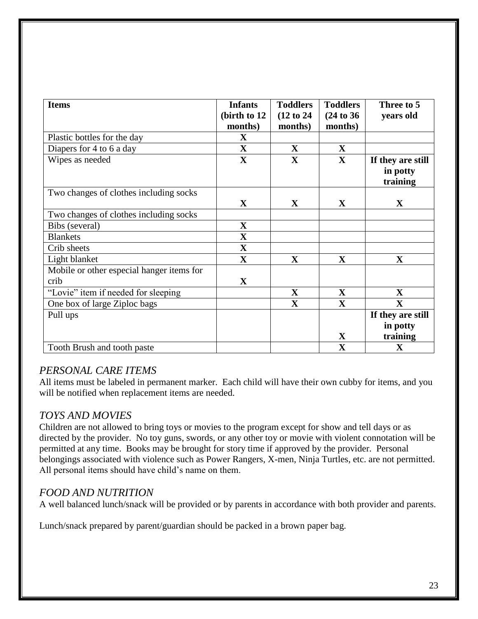| <b>Items</b>                              | <b>Infants</b> | <b>Toddlers</b> | <b>Toddlers</b> | Three to 5        |
|-------------------------------------------|----------------|-----------------|-----------------|-------------------|
|                                           | (birth to 12   | (12 to 24)      | (24 to 36)      | years old         |
|                                           | months)        | months)         | months)         |                   |
| Plastic bottles for the day               | $\mathbf X$    |                 |                 |                   |
| Diapers for 4 to 6 a day                  | $\mathbf X$    | $\mathbf X$     | $\mathbf{X}$    |                   |
| Wipes as needed                           | $\mathbf X$    | $\mathbf X$     | $\mathbf{X}$    | If they are still |
|                                           |                |                 |                 | in potty          |
|                                           |                |                 |                 | training          |
| Two changes of clothes including socks    |                |                 |                 |                   |
|                                           | $\mathbf{X}$   | $\mathbf X$     | $\mathbf X$     | $\mathbf X$       |
| Two changes of clothes including socks    |                |                 |                 |                   |
| Bibs (several)                            | $\mathbf X$    |                 |                 |                   |
| <b>Blankets</b>                           | $\mathbf X$    |                 |                 |                   |
| Crib sheets                               | $\mathbf X$    |                 |                 |                   |
| Light blanket                             | $\mathbf X$    | $\mathbf X$     | $\mathbf X$     | $\mathbf X$       |
| Mobile or other especial hanger items for |                |                 |                 |                   |
| crib                                      | $\mathbf{X}$   |                 |                 |                   |
| "Lovie" item if needed for sleeping       |                | $\mathbf X$     | $\mathbf{X}$    | $\mathbf X$       |
| One box of large Ziploc bags              |                | $\mathbf X$     | $\mathbf{X}$    | $\mathbf X$       |
| Pull ups                                  |                |                 |                 | If they are still |
|                                           |                |                 |                 | in potty          |
|                                           |                |                 | $\mathbf X$     | training          |
| Tooth Brush and tooth paste               |                |                 | $\mathbf X$     | $\mathbf X$       |

## <span id="page-22-0"></span>*PERSONAL CARE ITEMS*

All items must be labeled in permanent marker. Each child will have their own cubby for items, and you will be notified when replacement items are needed.

## <span id="page-22-1"></span>*TOYS AND MOVIES*

Children are not allowed to bring toys or movies to the program except for show and tell days or as directed by the provider. No toy guns, swords, or any other toy or movie with violent connotation will be permitted at any time. Books may be brought for story time if approved by the provider. Personal belongings associated with violence such as Power Rangers, X-men, Ninja Turtles, etc. are not permitted. All personal items should have child's name on them.

## <span id="page-22-2"></span>*FOOD AND NUTRITION*

A well balanced lunch/snack will be provided or by parents in accordance with both provider and parents.

Lunch/snack prepared by parent/guardian should be packed in a brown paper bag.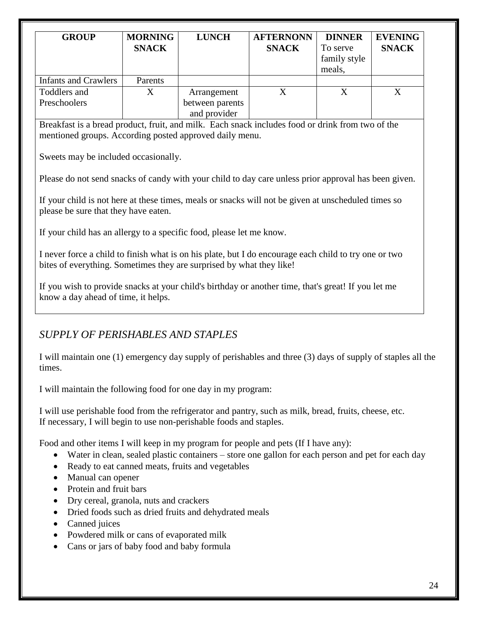| <b>GROUP</b>                                                                                                | <b>MORNING</b>                           | <b>LUNCH</b>                                                                                      | <b>AFTERNONN</b> | <b>DINNER</b> | <b>EVENING</b> |
|-------------------------------------------------------------------------------------------------------------|------------------------------------------|---------------------------------------------------------------------------------------------------|------------------|---------------|----------------|
|                                                                                                             | <b>SNACK</b>                             |                                                                                                   | <b>SNACK</b>     | To serve      | <b>SNACK</b>   |
|                                                                                                             |                                          |                                                                                                   |                  | family style  |                |
|                                                                                                             |                                          |                                                                                                   |                  | meals,        |                |
| <b>Infants and Crawlers</b><br>Toddlers and                                                                 | Parents<br>X                             |                                                                                                   | X                | X             | X              |
| Preschoolers                                                                                                |                                          | Arrangement<br>between parents                                                                    |                  |               |                |
|                                                                                                             |                                          | and provider                                                                                      |                  |               |                |
| Breakfast is a bread product, fruit, and milk. Each snack includes food or drink from two of the            |                                          |                                                                                                   |                  |               |                |
| mentioned groups. According posted approved daily menu.                                                     |                                          |                                                                                                   |                  |               |                |
|                                                                                                             |                                          |                                                                                                   |                  |               |                |
| Sweets may be included occasionally.                                                                        |                                          |                                                                                                   |                  |               |                |
|                                                                                                             |                                          |                                                                                                   |                  |               |                |
| Please do not send snacks of candy with your child to day care unless prior approval has been given.        |                                          |                                                                                                   |                  |               |                |
|                                                                                                             |                                          |                                                                                                   |                  |               |                |
| If your child is not here at these times, meals or snacks will not be given at unscheduled times so         |                                          |                                                                                                   |                  |               |                |
| please be sure that they have eaten.                                                                        |                                          |                                                                                                   |                  |               |                |
| If your child has an allergy to a specific food, please let me know.                                        |                                          |                                                                                                   |                  |               |                |
|                                                                                                             |                                          |                                                                                                   |                  |               |                |
| I never force a child to finish what is on his plate, but I do encourage each child to try one or two       |                                          |                                                                                                   |                  |               |                |
| bites of everything. Sometimes they are surprised by what they like!                                        |                                          |                                                                                                   |                  |               |                |
|                                                                                                             |                                          |                                                                                                   |                  |               |                |
| If you wish to provide snacks at your child's birthday or another time, that's great! If you let me         |                                          |                                                                                                   |                  |               |                |
| know a day ahead of time, it helps.                                                                         |                                          |                                                                                                   |                  |               |                |
|                                                                                                             |                                          |                                                                                                   |                  |               |                |
|                                                                                                             |                                          |                                                                                                   |                  |               |                |
| SUPPLY OF PERISHABLES AND STAPLES                                                                           |                                          |                                                                                                   |                  |               |                |
| I will maintain one (1) emergency day supply of perishables and three (3) days of supply of staples all the |                                          |                                                                                                   |                  |               |                |
| times.                                                                                                      |                                          |                                                                                                   |                  |               |                |
|                                                                                                             |                                          |                                                                                                   |                  |               |                |
| I will maintain the following food for one day in my program:                                               |                                          |                                                                                                   |                  |               |                |
|                                                                                                             |                                          |                                                                                                   |                  |               |                |
| I will use perishable food from the refrigerator and pantry, such as milk, bread, fruits, cheese, etc.      |                                          |                                                                                                   |                  |               |                |
| If necessary, I will begin to use non-perishable foods and staples.                                         |                                          |                                                                                                   |                  |               |                |
|                                                                                                             |                                          |                                                                                                   |                  |               |                |
| Food and other items I will keep in my program for people and pets (If I have any):                         |                                          |                                                                                                   |                  |               |                |
| $\bullet$                                                                                                   |                                          | Water in clean, sealed plastic containers - store one gallon for each person and pet for each day |                  |               |                |
| ٠                                                                                                           |                                          | Ready to eat canned meats, fruits and vegetables                                                  |                  |               |                |
| Manual can opener<br>٠<br>Protein and fruit bars                                                            |                                          |                                                                                                   |                  |               |                |
| ٠                                                                                                           |                                          |                                                                                                   |                  |               |                |
| $\bullet$                                                                                                   | Dry cereal, granola, nuts and crackers   | Dried foods such as dried fruits and dehydrated meals                                             |                  |               |                |
| Canned juices<br>٠                                                                                          |                                          |                                                                                                   |                  |               |                |
|                                                                                                             |                                          |                                                                                                   |                  |               |                |
| ٠                                                                                                           | Powdered milk or cans of evaporated milk |                                                                                                   |                  |               |                |

<span id="page-23-0"></span>Cans or jars of baby food and baby formula